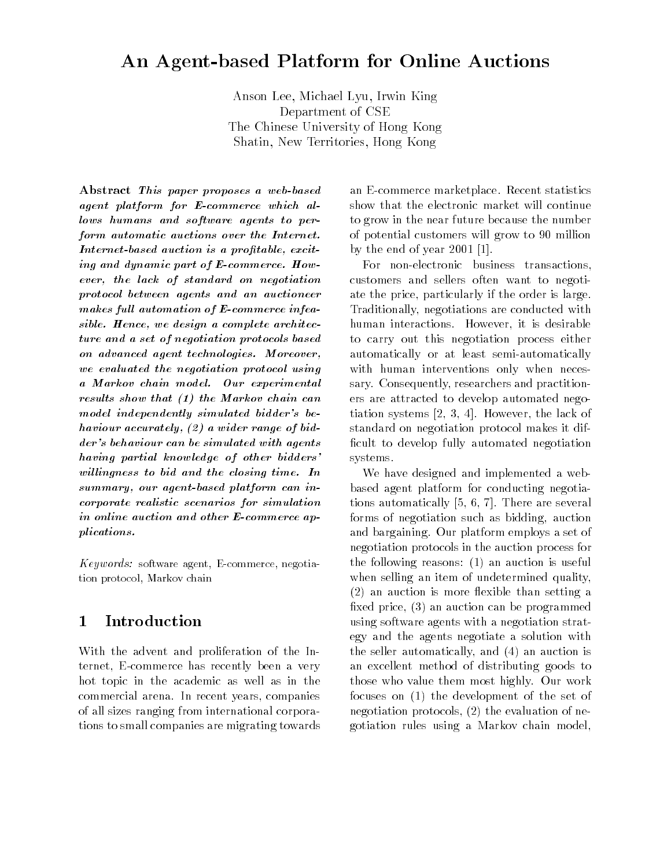# An Agent-based Platform for Online Auctions

Anson Lee, Michael Lyu, Irwin King Department of CSE The Chinese University of Hong Kong Shatin, New Territories, Hong Kong

Abstract This paper proposes a web-based agent platform for E-commerce which allows humans and software agents to perform automatic auctions over the Internet.Internet-based auction is a profitable, exciting and dynamic part of E-commerce. However, the lack of standard on negotiationprotocol between agents and an auctioneermakes full automation of  $E$ -commerce infeasible. Hence, we design a complete architecture and a set of negotiation protocols basedon advanced agent technologies. Moreover,we evaluated the negotiation protocol usinga Markov chain model. Our experimental results show that (1) the Markov chain canmodel independently simulated bidder's behaviour accurately, (2) a wider range of bidder's behaviour can be simulated with agentshaving partial knowledge of other bidders' willingness to bid and the closing time. In summary, our agent-based platform can incorporate realistic scenarios for simulationin online auction and other E-commerce applications.

Keywords: software agent, E-commerce, negotiation protocol, Markov chain

#### Introduction  $\mathbf 1$

With the advent and proliferation of the Internet, E-commerce has recently been a very hot topic in the academic as well as in the commercial arena. In recent years, companies of all sizes ranging from international corporations to small companies are migrating towards

an E-commerce marketplace. Recent statistics show that the electronic market will continue to grow in the near future because the number of potential customers will grow to 90 million by the end of year 2001 [1].

For non-electronic business transactions, customers and sellers often want to negotiate the price, particularly if the order is large. Traditionally, negotiations are conducted with human interactions. However, it is desirable to carry out this negotiation process either automatically or at least semi-automatically with human interventions only when necessary. Consequently, researchers and practitioners are attracted to develop automated negotiation systems [2, 3, 4]. However, the lack of standard on negotiation protocol makes it dif ficult to develop fully automated negotiation systems.

We have designed and implemented a webbased agent platform for conducting negotiations automatically [5, 6, 7]. There are several forms of negotiation such as bidding, auction and bargaining. Our platform employs a set of negotiation protocols in the auction process for the following reasons: (1) an auction is useful when selling an item of undetermined quality,  $(2)$  an auction is more flexible than setting a fixed price, (3) an auction can be programmed using software agents with a negotiation strategy and the agents negotiate a solution with the seller automatically, and (4) an auction is an excellent method of distributing goods to those who value them most highly. Our work focuses on (1) the development of the set of negotiation protocols, (2) the evaluation of negotiation rules using a Markov chain model,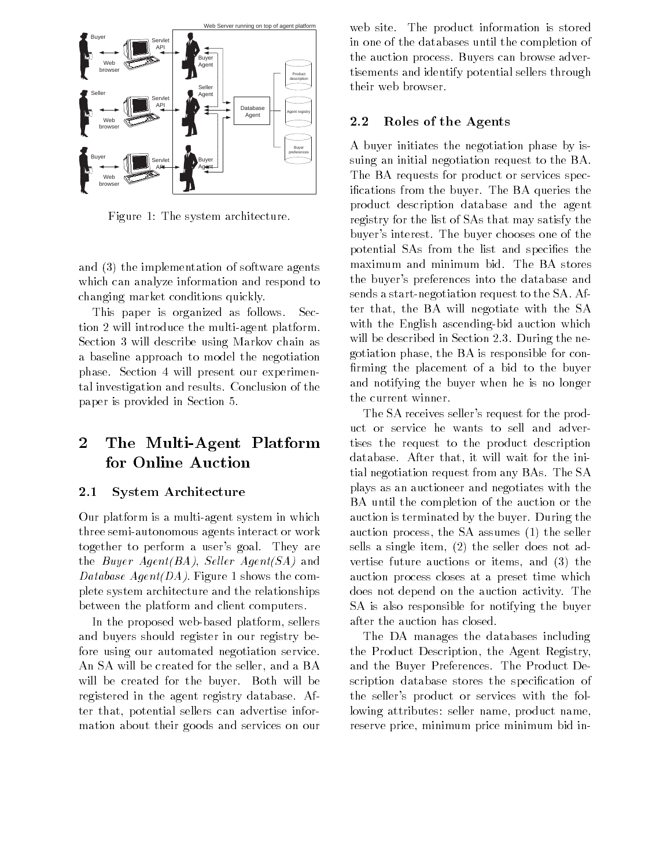

Figure 1: The system architecture.

and (3) the implementation of software agents which can analyze information and respond to changing market conditions quickly.

This paper is organized as follows. Section 2 will introduce the multi-agent platform. Section 3 will describe using Markov chain as a baseline approach to model the negotiation phase. Section 4 will present our experimental investigation and results. Conclusion of the paper is provided in Section 5.

### $\overline{2}$ 2 The Multi-Agent Platform for Online Auction

## 2.1 System Architecture

Our platform is a multi-agent system in which three semi-autonomous agents interact or work together to perform a user's goal. They are the Buyer Agent(BA), Seller Agent(SA) and Database  $Agent(DA)$ . Figure 1 shows the complete system architecture and the relationships between the platform and client computers.

In the proposed web-based platform, sellers and buyers should register in our registry before using our automated negotiation service. An SA will be created for the seller, and a BA will be created for the buyer. Both will be registered in the agent registry database. After that, potential sellers can advertise information about their goods and services on our web site. The product information is stored in one of the databases until the completion of the auction process. Buyers can browse advertisements and identify potential sellers through their web browser.

## 2.2 Roles of the Agents

A buyer initiates the negotiation phase by issuing an initial negotiation request to the BA. The BA requests for product or services specications from the buyer. The BA queries the product description database and the agent registry for the list of SAs that may satisfy the buyer's interest. The buyer chooses one of the potential SAs from the list and species the maximum and minimum bid. The BA stores the buyer's preferences into the database and sends a start-negotiation request to the SA. After that, the BA will negotiate with the SA with the English ascending-bid auction which will be described in Section 2.3. During the negotiation phase, the BA is responsible for con firming the placement of a bid to the buyer and notifying the buyer when he is no longer the current winner.

The SA receives seller's request for the product or service he wants to sell and advertises the request to the product description database. After that, it will wait for the initial negotiation request from any BAs. The SA plays as an auctioneer and negotiates with the BA until the completion of the auction or the auction is terminated by the buyer. During the auction process, the SA assumes (1) the seller sells a single item, (2) the seller does not advertise future auctions or items, and (3) the auction process closes at a preset time which does not depend on the auction activity. The SA is also responsible for notifying the buyer after the auction has closed.

The DA manages the databases including the Product Description, the Agent Registry, and the Buyer Preferences. The Product Description database stores the specification of the seller's product or services with the following attributes: seller name, product name, reserve price, minimum price minimum bid in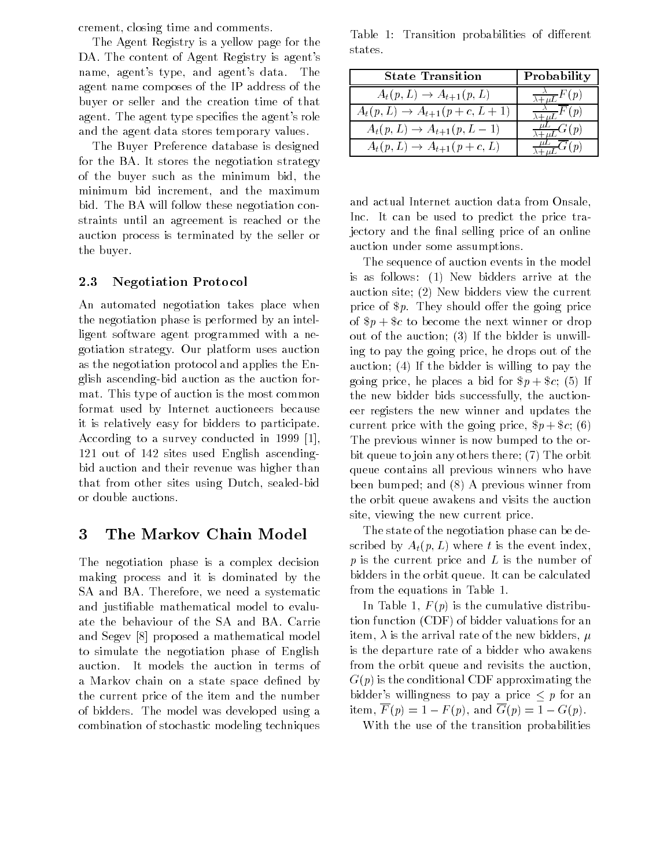crement, closing time and comments.

The Agent Registry is a yellow page for the DA. The content of Agent Registry is agent's name, agent's type, and agent's data. The agent name composes of the IP address of the buyer or seller and the creation time of that agent. The agent type specifies the agent's role and the agent data stores temporary values.

The Buyer Preference database is designed for the BA. It stores the negotiation strategy of the buyer such as the minimum bid, the minimum bid increment, and the maximum bid. The BA will follow these negotiation constraints until an agreement is reached or the auction process is terminated by the seller or the buyer.

## 2.3 Negotiation Protocol

An automated negotiation takes place when the negotiation phase is performed by an intelligent software agent programmed with a negotiation strategy. Our platform uses auction as the negotiation protocol and applies the English ascending-bid auction as the auction format. This type of auction is the most common format used by Internet auctioneers because it is relatively easy for bidders to participate. According to a survey conducted in 1999 [1], 121 out of 142 sites used English ascendingbid auction and their revenue was higher than that from other sites using Dutch, sealed-bid or double auctions.

#### 3 3 The Markov Chain Model

The negotiation phase is a complex decision making process and it is dominated by the SA and BA. Therefore, we need a systematic and justiable mathematical model to evaluate the behaviour of the SA and BA. Carrie and Segev [8] proposed a mathematical model to simulate the negotiation phase of English auction. It models the auction in terms of a Markov chain on a state space defined by the current price of the item and the number of bidders. The model was developed using a combination of stochastic modeling techniques

Table 1: Transition probabilities of different states.

| <b>State Transition</b>                 | Probability                                                |
|-----------------------------------------|------------------------------------------------------------|
| $A_t(p,L) \rightarrow A_{t+1}(p,L)$     | $\frac{A}{\Delta x + L} F(p)$                              |
| $A_t(p, L) \to A_{t+1}(p + c, L + 1)$   | $\frac{\lambda}{\lambda}$ $\frac{\lambda}{\lambda}$ $F(p)$ |
| $A_t(p, L) \to A_{t+1}(p, L-1)$         | (2)                                                        |
| $A_t(p, L) \rightarrow A_{t+1}(p+c, L)$ |                                                            |

and actual Internet auction data from Onsale, Inc. It can be used to predict the price trajectory and the final selling price of an online auction under some assumptions.

The sequence of auction events in the model is as follows: (1) New bidders arrive at the auction site; (2) New bidders view the current price of  $p$ . They should offer the going price of  $p + \$ c to become the next winner or drop out of the auction; (3) If the bidder is unwilling to pay the going price, he drops out of the auction; (4) If the bidder is willing to pay the going price, he places a bid for  $p + \csc(5)$  If the new bidder bids successfully, the auctioneer registers the new winner and updates the current price with the going price,  $p + \text{\$c}$ ; (6) The previous winner is now bumped to the orbit queue to join any others there; (7) The orbit queue contains all previous winners who have been bumped; and (8) A previous winner from the orbit queue awakens and visits the auction site, viewing the new current price.

The state of the negotiation phase can be described by  $A_t(p, L)$  where t is the event index,  $p$  is the current price and  $L$  is the number of bidders in the orbit queue. It can be calculated from the equations in Table 1.

In Table 1,  $F(p)$  is the cumulative distribution function (CDF) of bidder valuations for an item,  $\lambda$  is the arrival rate of the new bidders,  $\mu$ is the departure rate of a bidder who awakens from the orbit queue and revisits the auction,  $G(p)$  is the conditional CDF approximating the bidder's willingness to pay a price  $\leq p$  for an item,  $\overline{F}(p)=1-F(p)$ , and  $\overline{G}(p)=1-G(p)$ .

With the use of the transition probabilities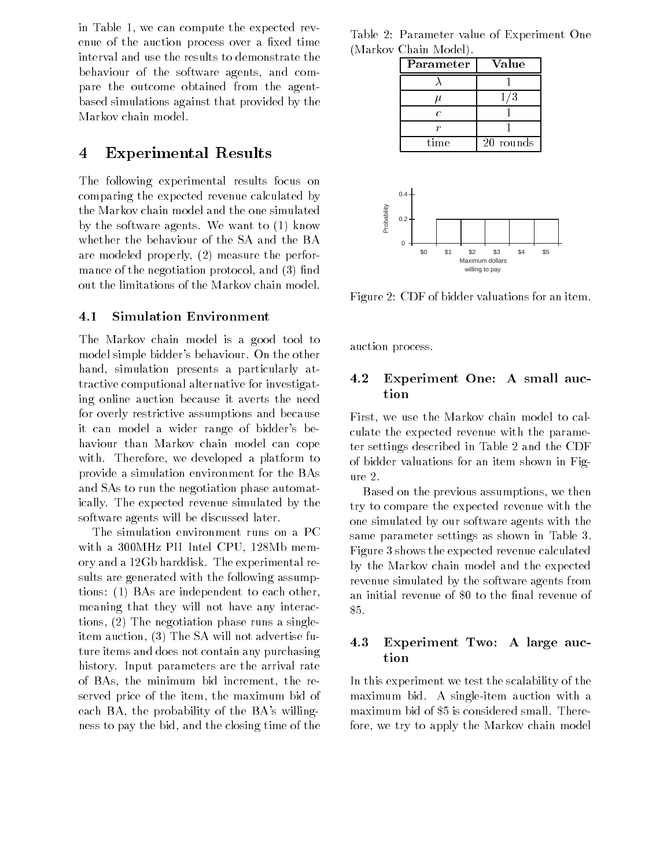in Table 1, we can compute the expected revenue of the auction process over a fixed time interval and use the results to demonstrate the behaviour of the software agents, and compare the outcome obtained from the agentbased simulations against that provided by the Markov chain model.

#### **Experimental Results** 4

The following experimental results focus on comparing the expected revenue calculated by the Markov chain model and the one simulated by the software agents. We want to (1) know whether the behaviour of the SA and the BA are modeled properly, (2) measure the performance of the negotiation protocol, and  $(3)$  find out the limitations of the Markov chain model.

#### $4.1$ Simulation Environment

The Markov chain model is a good tool to model simple bidder's behaviour. On the other hand, simulation presents a particularly attractive computional alternative for investigating online auction because it averts the need for overly restrictive assumptions and because it can model a wider range of bidder's behaviour than Markov chain model can cope with. Therefore, we developed a platform to provide a simulation environment for the BAs and SAs to run the negotiation phase automatically. The expected revenue simulated by the software agents will be discussed later.

The simulation environment runs on a PC with a 300MHz PII Intel CPU, 128Mb memory and a 12Gb harddisk. The experimental results are generated with the following assumptions: (1) BAs are independent to each other, meaning that they will not have any interactions, (2) The negotiation phase runs a singleitem auction, (3) The SA will not advertise future items and does not contain any purchasing history. Input parameters are the arrival rate of BAs, the minimum bid increment, the reserved price of the item, the maximum bid of each BA, the probability of the BA's willingness to pay the bid, and the closing time of the

Table 2: Parameter value of Experiment One (Markov Chain Model).

|             | Parameter      |                |      |     | Value                                    |     |     |
|-------------|----------------|----------------|------|-----|------------------------------------------|-----|-----|
|             | λ              |                |      |     | 1                                        |     |     |
|             | $\mu$          |                |      |     | 1/3                                      |     |     |
|             |                | $\overline{c}$ |      |     | 1                                        |     |     |
|             | r              |                |      |     | 1                                        |     |     |
|             |                |                | time |     | 20 rounds                                |     |     |
| Probability | $0.4 -$<br>0.2 |                |      |     |                                          |     |     |
|             |                |                |      |     |                                          |     |     |
|             | 0              | \$0            | \$1  | \$2 | \$3<br>Maximum dollars<br>willing to pay | \$4 | \$5 |

Figure 2: CDF of bidder valuations for an item.

auction process.

### 4.2 Experiment One: A small auction

First, we use the Markov chain model to calculate the expected revenue with the parameter settings described in Table 2 and the CDF of bidder valuations for an item shown in Figure 2.

Based on the previous assumptions, we then try to compare the expected revenue with the one simulated by our software agents with the same parameter settings as shown in Table 3. Figure 3 shows the expected revenue calculated by the Markov chain model and the expected revenue simulated by the software agents from an initial revenue of \$0 to the final revenue of \$5.

## 4.3 Experiment Two: A large auction

In this experiment we test the scalability of the maximum bid. A single-item auction with a maximum bid of \$5 is considered small. Therefore, we try to apply the Markov chain model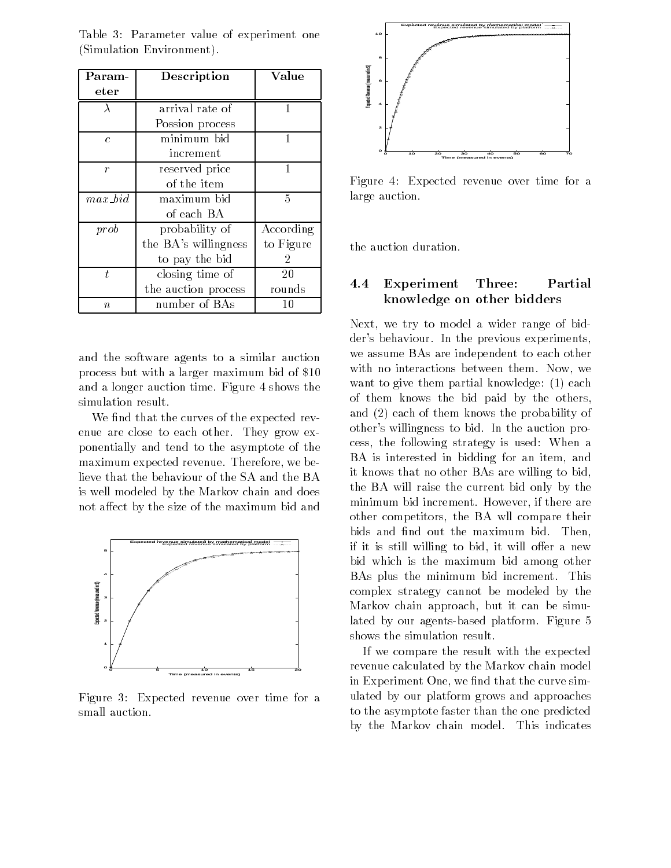| Param-           | Description          | Value     |
|------------------|----------------------|-----------|
| eter             |                      |           |
| $\lambda$        | arrival rate of      |           |
|                  | Possion process      |           |
| $\epsilon$       | minimum bid          | 1         |
|                  | increment            |           |
| $\boldsymbol{r}$ | reserved price       | 1         |
|                  | of the item          |           |
| $max\; bid$      | maximum bid          | 5         |
|                  | of each BA           |           |
| prob             | probability of       | According |
|                  | the BA's willingness | to Figure |
|                  | to pay the bid       | 2         |
| t.               | closing time of      | 20        |
|                  | the auction process  | rounds    |
| $\boldsymbol{n}$ | number of BAs        | 10        |

Table 3: Parameter value of experiment one (Simulation Environment).

and the software agents to a similar auction process but with a larger maximum bid of \$10 and a longer auction time. Figure 4 shows the simulation result.

We find that the curves of the expected revenue are close to each other. They grow exponentially and tend to the asymptote of the maximum expected revenue. Therefore, we believe that the behaviour of the SA and the BA is well modeled by the Markov chain and does not affect by the size of the maximum bid and



Figure 3: Expected revenue over time for a small auction.



Figure 4: Expected revenue over time for a large auction.

the auction duration.

### 4.4 Experiment Three: Partial knowledge on other bidders

Next, we try to model a wider range of bidder's behaviour. In the previous experiments, we assume BAs are independent to each other with no interactions between them. Now, we want to give them partial knowledge: (1) each of them knows the bid paid by the others, and (2) each of them knows the probability of other's willingness to bid. In the auction process, the following strategy is used: When a BA is interested in bidding for an item, and it knows that no other BAs are willing to bid, the BA will raise the current bid only by the minimum bid increment. However, if there are other competitors, the BA wll compare their bids and find out the maximum bid. Then, if it is still willing to bid, it will offer a new bid which is the maximum bid among other BAs plus the minimum bid increment. This complex strategy cannot be modeled by the Markov chain approach, but it can be simulated by our agents-based platform. Figure 5 shows the simulation result.

If we compare the result with the expected revenue calculated by the Markov chain model in Experiment One, we find that the curve simulated by our platform grows and approaches to the asymptote faster than the one predicted by the Markov chain model. This indicates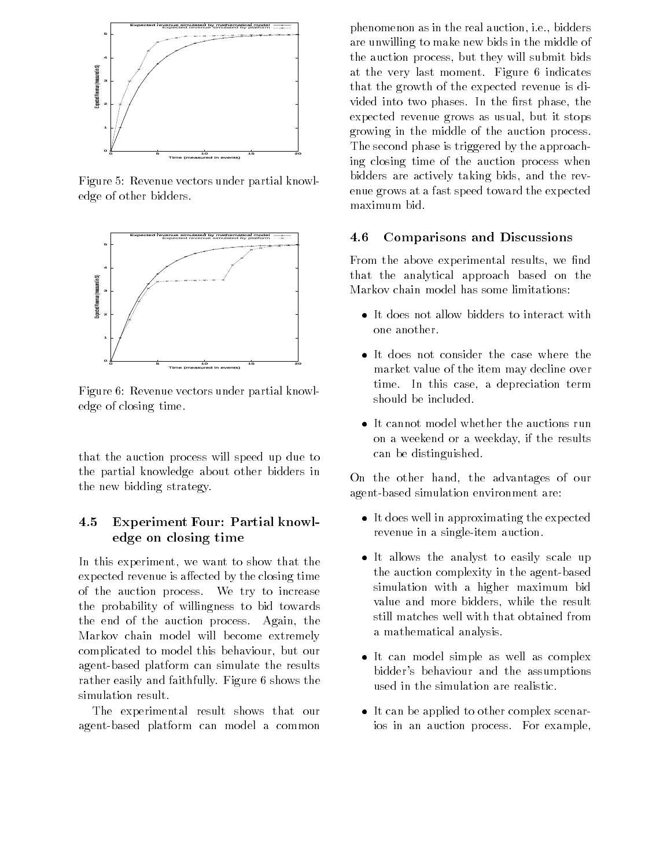

Figure 5: Revenue vectors under partial knowledge of other bidders.



Figure 6: Revenue vectors under partial knowledge of closing time.

that the auction process will speed up due to the partial knowledge about other bidders in the new bidding strategy.

### $4.5$ 4.5 Experiment Four: Partial knowledge on closing time

In this experiment, we want to show that the expected revenue is affected by the closing time of the auction process. We try to increase the probability of willingness to bid towards the end of the auction process. Again, the Markov chain model will become extremely complicated to model this behaviour, but our agent-based platform can simulate the results rather easily and faithfully. Figure 6 shows the simulation result.

The experimental result shows that our agent-based platform can model a common

phenomenon as in the real auction, i.e., bidders are unwilling to make new bids in the middle of the auction process, but they will submit bids at the very last moment. Figure 6 indicates that the growth of the expected revenue is divided into two phases. In the first phase, the expected revenue grows as usual, but it stops growing in the middle of the auction process. The second phase is triggered by the approaching closing time of the auction process when bidders are actively taking bids, and the revenue grows at a fast speed toward the expected maximum bid.

## 4.6 Comparisons and Discussions

From the above experimental results, we find that the analytical approach based on the Markov chain model has some limitations:

- It does not allow bidders to interact with one another.
- It does not consider the case where the market value of the item may decline over time. In this case, a depreciation term should be included.
- It cannot model whether the auctions run on a weekend or a weekday, if the results can be distinguished.

On the other hand, the advantages of our agent-based simulation environment are:

- It does well in approximating the expected revenue in a single-item auction.
- It allows the analyst to easily scale up the auction complexity in the agent-based simulation with a higher maximum bid value and more bidders, while the result still matches well with that obtained from a mathematical analysis.
- It can model simple as well as complex bidder's behaviour and the assumptions used in the simulation are realistic.
- It can be applied to other complex scenarios in an auction process. For example,